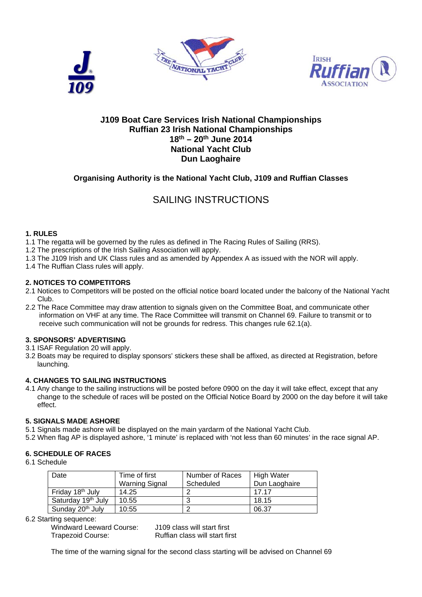





## **J109 Boat Care Services Irish National Championships Ruffian 23 Irish National Championships 18th – 20th June 2014 National Yacht Club Dun Laoghaire**

## **Organising Authority is the National Yacht Club, J109 and Ruffian Classes**

## SAILING INSTRUCTIONS

#### **1. RULES**

- 1.1 The regatta will be governed by the rules as defined in The Racing Rules of Sailing (RRS).
- 1.2 The prescriptions of the Irish Sailing Association will apply.
- 1.3 The J109 Irish and UK Class rules and as amended by Appendex A as issued with the NOR will apply.
- 1.4 The Ruffian Class rules will apply.

#### **2. NOTICES TO COMPETITORS**

- 2.1 Notices to Competitors will be posted on the official notice board located under the balcony of the National Yacht Club.
- 2.2 The Race Committee may draw attention to signals given on the Committee Boat, and communicate other information on VHF at any time. The Race Committee will transmit on Channel 69. Failure to transmit or to receive such communication will not be grounds for redress. This changes rule 62.1(a).

#### **3. SPONSORS' ADVERTISING**

- 3.1 ISAF Regulation 20 will apply.
- 3.2 Boats may be required to display sponsors' stickers these shall be affixed, as directed at Registration, before launching.

#### **4. CHANGES TO SAILING INSTRUCTIONS**

4.1 Any change to the sailing instructions will be posted before 0900 on the day it will take effect, except that any change to the schedule of races will be posted on the Official Notice Board by 2000 on the day before it will take effect.

#### **5. SIGNALS MADE ASHORE**

- 5.1 Signals made ashore will be displayed on the main yardarm of the National Yacht Club.
- 5.2 When flag AP is displayed ashore, '1 minute' is replaced with 'not less than 60 minutes' in the race signal AP.

## **6. SCHEDULE OF RACES**

6.1 Schedule

| Date                           | Time of first         | Number of Races | <b>High Water</b> |
|--------------------------------|-----------------------|-----------------|-------------------|
|                                | <b>Warning Signal</b> | Scheduled       | Dun Laoghaire     |
| Friday 18 <sup>th</sup> July   | 14.25                 | ◠               | 17 17             |
| Saturday 19 <sup>th</sup> July | 10.55                 | ≏<br>w          | 18.15             |
| Sunday 20 <sup>th</sup> July   | 10:55                 | c               | 06.37             |

6.2 Starting sequence:

 Windward Leeward Course: J109 class will start first Trapezoid Course: Ruffian class will start first

The time of the warning signal for the second class starting will be advised on Channel 69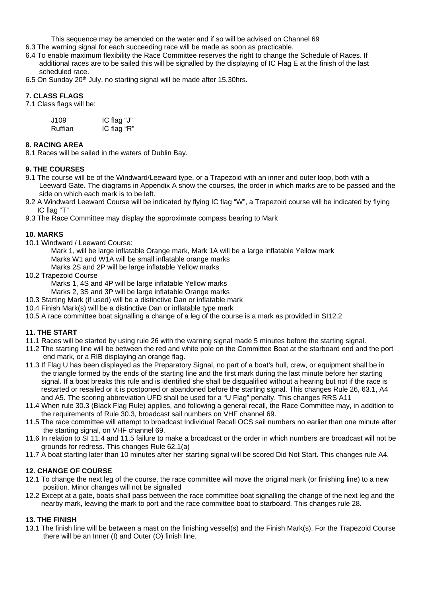This sequence may be amended on the water and if so will be advised on Channel 69

- 6.3 The warning signal for each succeeding race will be made as soon as practicable.
- 6.4 To enable maximum flexibility the Race Committee reserves the right to change the Schedule of Races. If additional races are to be sailed this will be signalled by the displaying of IC Flag E at the finish of the last scheduled race.
- 6.5 On Sunday 20<sup>th</sup> July, no starting signal will be made after 15.30hrs.

## **7. CLASS FLAGS**

7.1 Class flags will be:

| J109    | IC flag " $J$ " |
|---------|-----------------|
| Ruffian | IC flag "R"     |

#### **8. RACING AREA**

8.1 Races will be sailed in the waters of Dublin Bay.

## **9. THE COURSES**

- 9.1 The course will be of the Windward/Leeward type, or a Trapezoid with an inner and outer loop, both with a Leeward Gate. The diagrams in Appendix A show the courses, the order in which marks are to be passed and the side on which each mark is to be left.
- 9.2 A Windward Leeward Course will be indicated by flying IC flag "W", a Trapezoid course will be indicated by flying IC flag "T"
- 9.3 The Race Committee may display the approximate compass bearing to Mark

#### **10. MARKS**

- 10.1 Windward / Leeward Course:
	- Mark 1, will be large inflatable Orange mark, Mark 1A will be a large inflatable Yellow mark
	- Marks W1 and W1A will be small inflatable orange marks
	- Marks 2S and 2P will be large inflatable Yellow marks
- 10.2 Trapezoid Course
	- Marks 1, 4S and 4P will be large inflatable Yellow marks
	- Marks 2, 3S and 3P will be large inflatable Orange marks
- 10.3 Starting Mark (if used) will be a distinctive Dan or inflatable mark
- 10.4 Finish Mark(s) will be a distinctive Dan or inflatable type mark
- 10.5 A race committee boat signalling a change of a leg of the course is a mark as provided in SI12.2

## **11. THE START**

- 11.1 Races will be started by using rule 26 with the warning signal made 5 minutes before the starting signal.
- 11.2 The starting line will be between the red and white pole on the Committee Boat at the starboard end and the port end mark, or a RIB displaying an orange flag.
- 11.3 If Flag U has been displayed as the Preparatory Signal, no part of a boat's hull, crew, or equipment shall be in the triangle formed by the ends of the starting line and the first mark during the last minute before her starting signal. If a boat breaks this rule and is identified she shall be disqualified without a hearing but not if the race is restarted or resailed or it is postponed or abandoned before the starting signal. This changes Rule 26, 63.1, A4 and A5. The scoring abbreviation UFD shall be used for a "U Flag" penalty. This changes RRS A11
- 11.4 When rule 30.3 (Black Flag Rule) applies, and following a general recall, the Race Committee may, in addition to the requirements of Rule 30.3, broadcast sail numbers on VHF channel 69.
- 11.5 The race committee will attempt to broadcast Individual Recall OCS sail numbers no earlier than one minute after the starting signal, on VHF channel 69.
- 11.6 In relation to SI 11.4 and 11.5 failure to make a broadcast or the order in which numbers are broadcast will not be grounds for redress. This changes Rule 62.1(a)
- 11.7 A boat starting later than 10 minutes after her starting signal will be scored Did Not Start. This changes rule A4.

## **12. CHANGE OF COURSE**

- 12.1 To change the next leg of the course, the race committee will move the original mark (or finishing line) to a new position. Minor changes will not be signalled
- 12.2 Except at a gate, boats shall pass between the race committee boat signalling the change of the next leg and the nearby mark, leaving the mark to port and the race committee boat to starboard. This changes rule 28.

## **13. THE FINISH**

13.1 The finish line will be between a mast on the finishing vessel(s) and the Finish Mark(s). For the Trapezoid Course there will be an Inner (I) and Outer (O) finish line.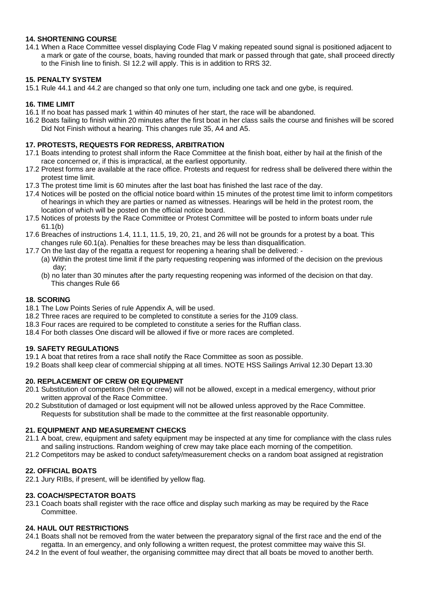#### **14. SHORTENING COURSE**

14.1 When a Race Committee vessel displaying Code Flag V making repeated sound signal is positioned adjacent to a mark or gate of the course, boats, having rounded that mark or passed through that gate, shall proceed directly to the Finish line to finish. SI 12.2 will apply. This is in addition to RRS 32.

## **15. PENALTY SYSTEM**

15.1 Rule 44.1 and 44.2 are changed so that only one turn, including one tack and one gybe, is required.

#### **16. TIME LIMIT**

- 16.1 If no boat has passed mark 1 within 40 minutes of her start, the race will be abandoned.
- 16.2 Boats failing to finish within 20 minutes after the first boat in her class sails the course and finishes will be scored Did Not Finish without a hearing. This changes rule 35, A4 and A5.

#### **17. PROTESTS, REQUESTS FOR REDRESS, ARBITRATION**

- 17.1 Boats intending to protest shall inform the Race Committee at the finish boat, either by hail at the finish of the race concerned or, if this is impractical, at the earliest opportunity.
- 17.2 Protest forms are available at the race office. Protests and request for redress shall be delivered there within the protest time limit.
- 17.3 The protest time limit is 60 minutes after the last boat has finished the last race of the day.
- 17.4 Notices will be posted on the official notice board within 15 minutes of the protest time limit to inform competitors of hearings in which they are parties or named as witnesses. Hearings will be held in the protest room, the location of which will be posted on the official notice board.
- 17.5 Notices of protests by the Race Committee or Protest Committee will be posted to inform boats under rule 61.1(b)
- 17.6 Breaches of instructions 1.4, 11.1, 11.5, 19, 20, 21, and 26 will not be grounds for a protest by a boat. This changes rule 60.1(a). Penalties for these breaches may be less than disqualification.
- 17.7 On the last day of the regatta a request for reopening a hearing shall be delivered:
	- (a) Within the protest time limit if the party requesting reopening was informed of the decision on the previous day;
	- (b) no later than 30 minutes after the party requesting reopening was informed of the decision on that day. This changes Rule 66

#### **18. SCORING**

- 18.1 The Low Points Series of rule Appendix A, will be used.
- 18.2 Three races are required to be completed to constitute a series for the J109 class.
- 18.3 Four races are required to be completed to constitute a series for the Ruffian class.
- 18.4 For both classes One discard will be allowed if five or more races are completed.

#### **19. SAFETY REGULATIONS**

- 19.1 A boat that retires from a race shall notify the Race Committee as soon as possible.
- 19.2 Boats shall keep clear of commercial shipping at all times. NOTE HSS Sailings Arrival 12.30 Depart 13.30

#### **20. REPLACEMENT OF CREW OR EQUIPMENT**

- 20.1 Substitution of competitors (helm or crew) will not be allowed, except in a medical emergency, without prior written approval of the Race Committee.
- 20.2 Substitution of damaged or lost equipment will not be allowed unless approved by the Race Committee. Requests for substitution shall be made to the committee at the first reasonable opportunity.

#### **21. EQUIPMENT AND MEASUREMENT CHECKS**

21.1 A boat, crew, equipment and safety equipment may be inspected at any time for compliance with the class rules and sailing instructions. Random weighing of crew may take place each morning of the competition.

21.2 Competitors may be asked to conduct safety/measurement checks on a random boat assigned at registration

#### **22. OFFICIAL BOATS**

22.1 Jury RIBs, if present, will be identified by yellow flag.

#### **23. COACH/SPECTATOR BOATS**

23.1 Coach boats shall register with the race office and display such marking as may be required by the Race Committee.

#### **24. HAUL OUT RESTRICTIONS**

- 24.1 Boats shall not be removed from the water between the preparatory signal of the first race and the end of the regatta. In an emergency, and only following a written request, the protest committee may waive this SI.
- 24.2 In the event of foul weather, the organising committee may direct that all boats be moved to another berth.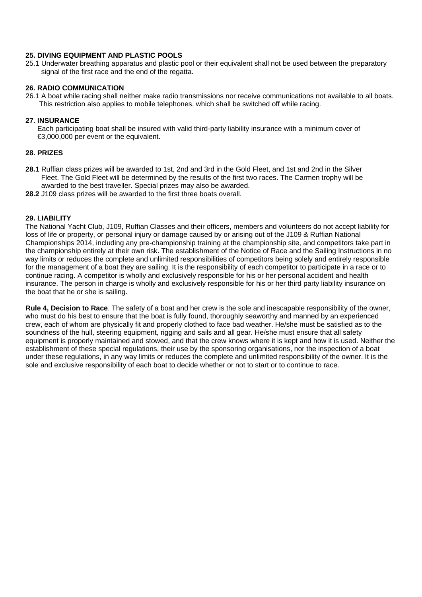#### **25. DIVING EQUIPMENT AND PLASTIC POOLS**

25.1 Underwater breathing apparatus and plastic pool or their equivalent shall not be used between the preparatory signal of the first race and the end of the regatta.

#### **26. RADIO COMMUNICATION**

26.1 A boat while racing shall neither make radio transmissions nor receive communications not available to all boats. This restriction also applies to mobile telephones, which shall be switched off while racing.

#### **27. INSURANCE**

 Each participating boat shall be insured with valid third-party liability insurance with a minimum cover of €3,000,000 per event or the equivalent.

#### **28. PRIZES**

- **28.1** Ruffian class prizes will be awarded to 1st, 2nd and 3rd in the Gold Fleet, and 1st and 2nd in the Silver Fleet. The Gold Fleet will be determined by the results of the first two races. The Carmen trophy will be awarded to the best traveller. Special prizes may also be awarded.
- **28.2** J109 class prizes will be awarded to the first three boats overall.

#### **29. LIABILITY**

The National Yacht Club, J109, Ruffian Classes and their officers, members and volunteers do not accept liability for loss of life or property, or personal injury or damage caused by or arising out of the J109 & Ruffian National Championships 2014, including any pre-championship training at the championship site, and competitors take part in the championship entirely at their own risk. The establishment of the Notice of Race and the Sailing Instructions in no way limits or reduces the complete and unlimited responsibilities of competitors being solely and entirely responsible for the management of a boat they are sailing. It is the responsibility of each competitor to participate in a race or to continue racing. A competitor is wholly and exclusively responsible for his or her personal accident and health insurance. The person in charge is wholly and exclusively responsible for his or her third party liability insurance on the boat that he or she is sailing.

**Rule 4, Decision to Race**. The safety of a boat and her crew is the sole and inescapable responsibility of the owner, who must do his best to ensure that the boat is fully found, thoroughly seaworthy and manned by an experienced crew, each of whom are physically fit and properly clothed to face bad weather. He/she must be satisfied as to the soundness of the hull, steering equipment, rigging and sails and all gear. He/she must ensure that all safety equipment is properly maintained and stowed, and that the crew knows where it is kept and how it is used. Neither the establishment of these special regulations, their use by the sponsoring organisations, nor the inspection of a boat under these regulations, in any way limits or reduces the complete and unlimited responsibility of the owner. It is the sole and exclusive responsibility of each boat to decide whether or not to start or to continue to race.